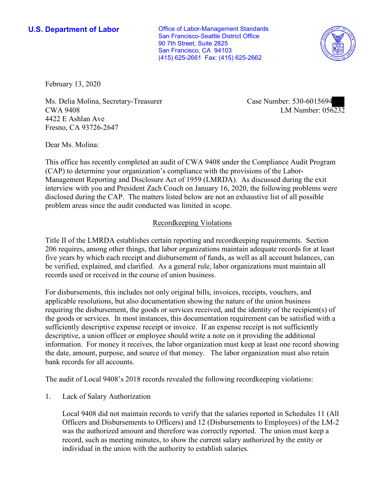**U.S. Department of Labor Conservative Conservative Conservative Conservative Conservative Conservative Conservative Conservative Conservative Conservative Conservative Conservative Conservative Conservative Conservative** San Francisco-Seattle District Office 90 7th Street, Suite 2825 San Francisco, CA 94103 (415) 625-2661 Fax: (415) 625-2662



February 13, 2020

■ CWA 9408 LM Number: 056232 Ms. Delia Molina, Secretary-Treasurer Case Number: 530-6015694 4422 E Ashlan Ave Fresno, CA 93726-2647

Dear Ms. Molina:

 This office has recently completed an audit of CWA 9408 under the Compliance Audit Program (CAP) to determine your organization's compliance with the provisions of the Labor-Management Reporting and Disclosure Act of 1959 (LMRDA). As discussed during the exit interview with you and President Zach Couch on January 16, 2020, the following problems were disclosed during the CAP. The matters listed below are not an exhaustive list of all possible problem areas since the audit conducted was limited in scope.

# Recordkeeping Violations

 Title II of the LMRDA establishes certain reporting and recordkeeping requirements. Section 206 requires, among other things, that labor organizations maintain adequate records for at least five years by which each receipt and disbursement of funds, as well as all account balances, can be verified, explained, and clarified. As a general rule, labor organizations must maintain all records used or received in the course of union business.

For disbursements, this includes not only original bills, invoices, receipts, vouchers, and applicable resolutions, but also documentation showing the nature of the union business requiring the disbursement, the goods or services received, and the identity of the recipient(s) of the goods or services. In most instances, this documentation requirement can be satisfied with a sufficiently descriptive expense receipt or invoice. If an expense receipt is not sufficiently descriptive, a union officer or employee should write a note on it providing the additional information. For money it receives, the labor organization must keep at least one record showing the date, amount, purpose, and source of that money. The labor organization must also retain bank records for all accounts.

The audit of Local 9408's 2018 records revealed the following recordkeeping violations:

1. Lack of Salary Authorization

Local 9408 did not maintain records to verify that the salaries reported in Schedules 11 (All Officers and Disbursements to Officers) and 12 (Disbursements to Employees) of the LM-2 was the authorized amount and therefore was correctly reported. The union must keep a record, such as meeting minutes, to show the current salary authorized by the entity or individual in the union with the authority to establish salaries.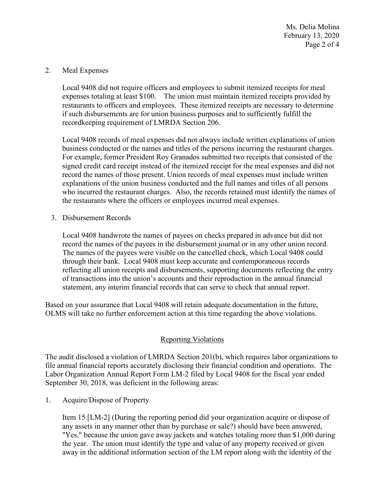February 13, 2020 Page 2 of 4 Ms. Delia Molina

### 2. Meal Expenses

Local 9408 did not require officers and employees to submit itemized receipts for meal expenses totaling at least \$100. The union must maintain itemized receipts provided by restaurants to officers and employees. These itemized receipts are necessary to determine if such disbursements are for union business purposes and to sufficiently fulfill the recordkeeping requirement of LMRDA Section 206.

 the restaurants where the officers or employees incurred meal expenses. 3. Disbursement Records Local 9408 records of meal expenses did not always include written explanations of union business conducted or the names and titles of the persons incurring the restaurant charges. For example, former President Roy Granados submitted two receipts that consisted of the signed credit card receipt instead of the itemized receipt for the meal expenses and did not record the names of those present. Union records of meal expenses must include written explanations of the union business conducted and the full names and titles of all persons who incurred the restaurant charges. Also, the records retained must identify the names of

 Local 9408 handwrote the names of payees on checks prepared in advance but did not reflecting all union receipts and disbursements, supporting documents reflecting the entry record the names of the payees in the disbursement journal or in any other union record. The names of the payees were visible on the cancelled check, which Local 9408 could through their bank. Local 9408 must keep accurate and contemporaneous records of transactions into the union's accounts and their reproduction in the annual financial statement, any interim financial records that can serve to check that annual report.

 Based on your assurance that Local 9408 will retain adequate documentation in the future, OLMS will take no further enforcement action at this time regarding the above violations.

## Reporting Violations

 Labor Organization Annual Report Form LM-2 filed by Local 9408 for the fiscal year ended The audit disclosed a violation of LMRDA Section 201(b), which requires labor organizations to file annual financial reports accurately disclosing their financial condition and operations. The September 30, 2018, was deficient in the following areas:

1. Acquire/Dispose of Property

 Item 15 [LM-2] (During the reporting period did your organization acquire or dispose of "Yes," because the union gave away jackets and watches totaling more than \$1,000 during any assets in any manner other than by purchase or sale?) should have been answered, the year. The union must identify the type and value of any property received or given away in the additional information section of the LM report along with the identity of the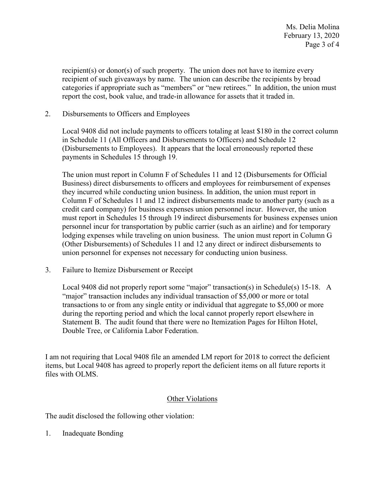categories if appropriate such as "members" or "new retirees." In addition, the union must recipient(s) or donor(s) of such property. The union does not have to itemize every recipient of such giveaways by name. The union can describe the recipients by broad report the cost, book value, and trade-in allowance for assets that it traded in.

Disbursements to Officers and Employees

2. Disbursements to Officers and Employees<br>Local 9408 did not include payments to officers totaling at least \$180 in the correct column in Schedule 11 (All Officers and Disbursements to Officers) and Schedule 12 (Disbursements to Employees). It appears that the local erroneously reported these payments in Schedules 15 through 19.

 The union must report in Column F of Schedules 11 and 12 (Disbursements for Official Column F of Schedules 11 and 12 indirect disbursements made to another party (such as a personnel incur for transportation by public carrier (such as an airline) and for temporary Business) direct disbursements to officers and employees for reimbursement of expenses they incurred while conducting union business. In addition, the union must report in credit card company) for business expenses union personnel incur. However, the union must report in Schedules 15 through 19 indirect disbursements for business expenses union lodging expenses while traveling on union business. The union must report in Column G (Other Disbursements) of Schedules 11 and 12 any direct or indirect disbursements to union personnel for expenses not necessary for conducting union business.

3. Failure to Itemize Disbursement or Receipt

 Local 9408 did not properly report some "major" transaction(s) in Schedule(s) 15-18. A Statement B. The audit found that there were no Itemization Pages for Hilton Hotel, Double Tree, or California Labor Federation. "major" transaction includes any individual transaction of \$5,000 or more or total transactions to or from any single entity or individual that aggregate to \$5,000 or more during the reporting period and which the local cannot properly report elsewhere in

 I am not requiring that Local 9408 file an amended LM report for 2018 to correct the deficient items, but Local 9408 has agreed to properly report the deficient items on all future reports it files with OLMS.

### Other Violations

The audit disclosed the following other violation:

1. Inadequate Bonding